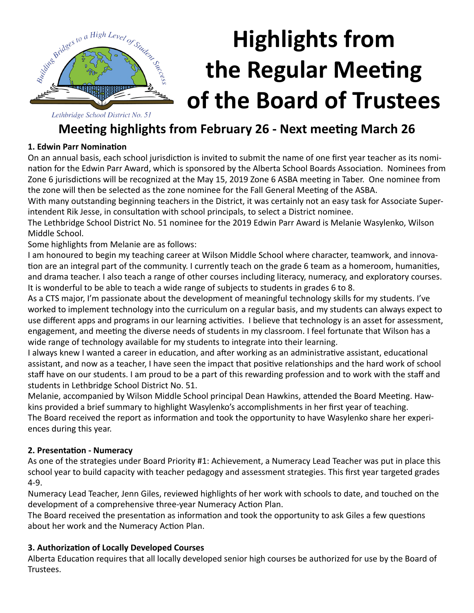

# **Highlights from the Regular Meeting of the Board of Trustees**

Lethbridge School District No. 51

### **Meeting highlights from February 26 - Next meeting March 26**

#### **1. Edwin Parr Nomination**

On an annual basis, each school jurisdiction is invited to submit the name of one first year teacher as its nomination for the Edwin Parr Award, which is sponsored by the Alberta School Boards Association. Nominees from Zone 6 jurisdictions will be recognized at the May 15, 2019 Zone 6 ASBA meeting in Taber. One nominee from the zone will then be selected as the zone nominee for the Fall General Meeting of the ASBA.

With many outstanding beginning teachers in the District, it was certainly not an easy task for Associate Superintendent Rik Jesse, in consultation with school principals, to select a District nominee.

The Lethbridge School District No. 51 nominee for the 2019 Edwin Parr Award is Melanie Wasylenko, Wilson Middle School.

Some highlights from Melanie are as follows:

I am honoured to begin my teaching career at Wilson Middle School where character, teamwork, and innovation are an integral part of the community. I currently teach on the grade 6 team as a homeroom, humanities, and drama teacher. I also teach a range of other courses including literacy, numeracy, and exploratory courses. It is wonderful to be able to teach a wide range of subjects to students in grades 6 to 8.

As a CTS major, I'm passionate about the development of meaningful technology skills for my students. I've worked to implement technology into the curriculum on a regular basis, and my students can always expect to use different apps and programs in our learning activities. I believe that technology is an asset for assessment, engagement, and meeting the diverse needs of students in my classroom. I feel fortunate that Wilson has a wide range of technology available for my students to integrate into their learning.

I always knew I wanted a career in education, and after working as an administrative assistant, educational assistant, and now as a teacher, I have seen the impact that positive relationships and the hard work of school staff have on our students. I am proud to be a part of this rewarding profession and to work with the staff and students in Lethbridge School District No. 51.

Melanie, accompanied by Wilson Middle School principal Dean Hawkins, attended the Board Meeting. Hawkins provided a brief summary to highlight Wasylenko's accomplishments in her first year of teaching. The Board received the report as information and took the opportunity to have Wasylenko share her experiences during this year.

#### **2. Presentation - Numeracy**

As one of the strategies under Board Priority #1: Achievement, a Numeracy Lead Teacher was put in place this school year to build capacity with teacher pedagogy and assessment strategies. This first year targeted grades 4-9.

Numeracy Lead Teacher, Jenn Giles, reviewed highlights of her work with schools to date, and touched on the development of a comprehensive three-year Numeracy Action Plan.

The Board received the presentation as information and took the opportunity to ask Giles a few questions about her work and the Numeracy Action Plan.

#### **3. Authorization of Locally Developed Courses**

Alberta Education requires that all locally developed senior high courses be authorized for use by the Board of Trustees.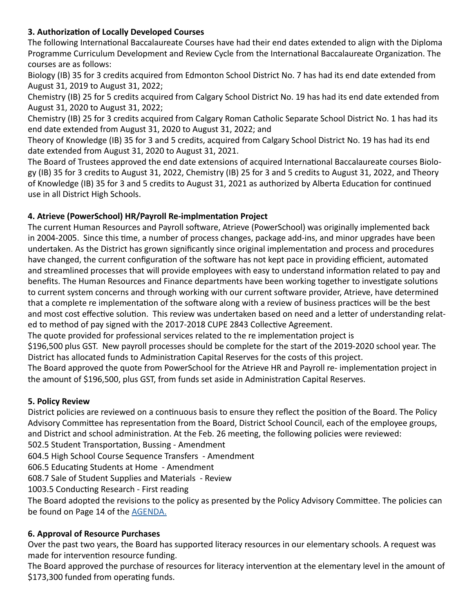#### **3. Authorization of Locally Developed Courses**

The following International Baccalaureate Courses have had their end dates extended to align with the Diploma Programme Curriculum Development and Review Cycle from the International Baccalaureate Organization. The courses are as follows:

Biology (IB) 35 for 3 credits acquired from Edmonton School District No. 7 has had its end date extended from August 31, 2019 to August 31, 2022;

Chemistry (IB) 25 for 5 credits acquired from Calgary School District No. 19 has had its end date extended from August 31, 2020 to August 31, 2022;

Chemistry (IB) 25 for 3 credits acquired from Calgary Roman Catholic Separate School District No. 1 has had its end date extended from August 31, 2020 to August 31, 2022; and

Theory of Knowledge (IB) 35 for 3 and 5 credits, acquired from Calgary School District No. 19 has had its end date extended from August 31, 2020 to August 31, 2021.

The Board of Trustees approved the end date extensions of acquired International Baccalaureate courses Biology (IB) 35 for 3 credits to August 31, 2022, Chemistry (IB) 25 for 3 and 5 credits to August 31, 2022, and Theory of Knowledge (IB) 35 for 3 and 5 credits to August 31, 2021 as authorized by Alberta Education for continued use in all District High Schools.

#### **4. Atrieve (PowerSchool) HR/Payroll Re-implmentation Project**

The current Human Resources and Payroll software, Atrieve (PowerSchool) was originally implemented back in 2004-2005. Since this time, a number of process changes, package add-ins, and minor upgrades have been undertaken. As the District has grown significantly since original implementation and process and procedures have changed, the current configuration of the software has not kept pace in providing efficient, automated and streamlined processes that will provide employees with easy to understand information related to pay and benefits. The Human Resources and Finance departments have been working together to investigate solutions to current system concerns and through working with our current software provider, Atrieve, have determined that a complete re implementation of the software along with a review of business practices will be the best and most cost effective solution. This review was undertaken based on need and a letter of understanding related to method of pay signed with the 2017-2018 CUPE 2843 Collective Agreement.

The quote provided for professional services related to the re implementation project is

\$196,500 plus GST. New payroll processes should be complete for the start of the 2019-2020 school year. The District has allocated funds to Administration Capital Reserves for the costs of this project.

The Board approved the quote from PowerSchool for the Atrieve HR and Payroll re- implementation project in the amount of \$196,500, plus GST, from funds set aside in Administration Capital Reserves.

#### **5. Policy Review**

District policies are reviewed on a continuous basis to ensure they reflect the position of the Board. The Policy Advisory Committee has representation from the Board, District School Council, each of the employee groups, and District and school administration. At the Feb. 26 meeting, the following policies were reviewed:

502.5 Student Transportation, Bussing - Amendment

604.5 High School Course Sequence Transfers - Amendment

606.5 Educating Students at Home - Amendment

608.7 Sale of Student Supplies and Materials - Review

1003.5 Conducting Research - First reading

The Board adopted the revisions to the policy as presented by the Policy Advisory Committee. The policies can be found on Page 14 of the [AGENDA.](http://www.lethsd.ab.ca/documents/general/2019-02-26%20Board%20Meeting%20Agenda.pdf)

#### **6. Approval of Resource Purchases**

Over the past two years, the Board has supported literacy resources in our elementary schools. A request was made for intervention resource funding.

The Board approved the purchase of resources for literacy intervention at the elementary level in the amount of \$173,300 funded from operating funds.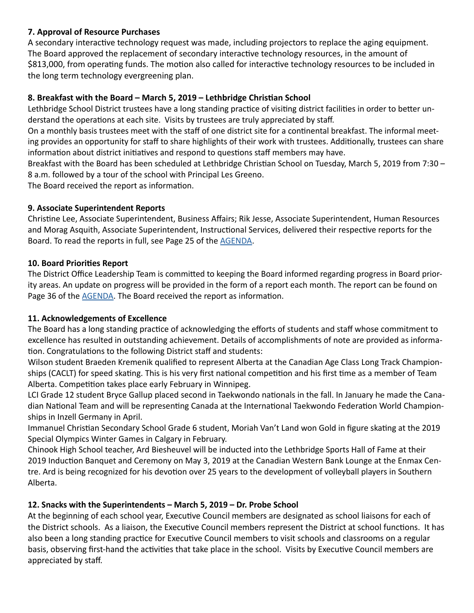#### **7. Approval of Resource Purchases**

A secondary interactive technology request was made, including projectors to replace the aging equipment. The Board approved the replacement of secondary interactive technology resources, in the amount of \$813,000, from operating funds. The motion also called for interactive technology resources to be included in the long term technology evergreening plan.

#### **8. Breakfast with the Board – March 5, 2019 – Lethbridge Christian School**

Lethbridge School District trustees have a long standing practice of visiting district facilities in order to better understand the operations at each site. Visits by trustees are truly appreciated by staff.

On a monthly basis trustees meet with the staff of one district site for a continental breakfast. The informal meeting provides an opportunity for staff to share highlights of their work with trustees. Additionally, trustees can share information about district initiatives and respond to questions staff members may have.

Breakfast with the Board has been scheduled at Lethbridge Christian School on Tuesday, March 5, 2019 from 7:30 – 8 a.m. followed by a tour of the school with Principal Les Greeno.

The Board received the report as information.

#### **9. Associate Superintendent Reports**

Christine Lee, Associate Superintendent, Business Affairs; Rik Jesse, Associate Superintendent, Human Resources and Morag Asquith, Associate Superintendent, Instructional Services, delivered their respective reports for the Board. To read the reports in full, see Page 25 of the [AGENDA.](http://www.lethsd.ab.ca/documents/general/2019-02-26%20Board%20Meeting%20Agenda.pdf)

#### **10. Board Priorities Report**

The District Office Leadership Team is committed to keeping the Board informed regarding progress in Board priority areas. An update on progress will be provided in the form of a report each month. The report can be found on Page 36 of the [AGENDA.](http://www.lethsd.ab.ca/documents/general/2019-02-26%20Board%20Meeting%20Agenda.pdf) The Board received the report as information.

#### **11. Acknowledgements of Excellence**

The Board has a long standing practice of acknowledging the efforts of students and staff whose commitment to excellence has resulted in outstanding achievement. Details of accomplishments of note are provided as information. Congratulations to the following District staff and students:

Wilson student Braeden Kremenik qualified to represent Alberta at the Canadian Age Class Long Track Championships (CACLT) for speed skating. This is his very first national competition and his first time as a member of Team Alberta. Competition takes place early February in Winnipeg.

LCI Grade 12 student Bryce Gallup placed second in Taekwondo nationals in the fall. In January he made the Canadian National Team and will be representing Canada at the International Taekwondo Federation World Championships in Inzell Germany in April.

Immanuel Christian Secondary School Grade 6 student, Moriah Van't Land won Gold in figure skating at the 2019 Special Olympics Winter Games in Calgary in February.

Chinook High School teacher, Ard Biesheuvel will be inducted into the Lethbridge Sports Hall of Fame at their 2019 Induction Banquet and Ceremony on May 3, 2019 at the Canadian Western Bank Lounge at the Enmax Centre. Ard is being recognized for his devotion over 25 years to the development of volleyball players in Southern Alberta.

#### **12. Snacks with the Superintendents – March 5, 2019 – Dr. Probe School**

At the beginning of each school year, Executive Council members are designated as school liaisons for each of the District schools. As a liaison, the Executive Council members represent the District at school functions. It has also been a long standing practice for Executive Council members to visit schools and classrooms on a regular basis, observing first-hand the activities that take place in the school. Visits by Executive Council members are appreciated by staff.